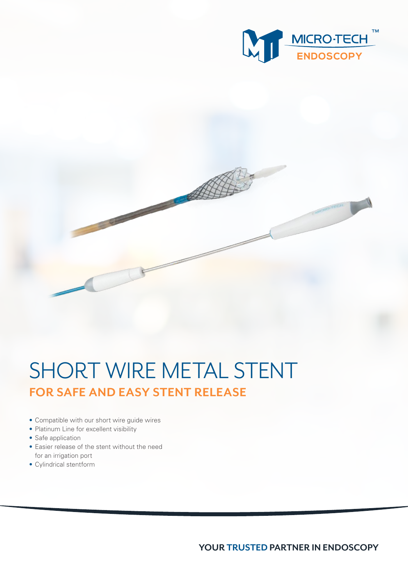

## SHORT WIRE METAL STENT **FOR SAFE AND EASY STENT RELEASE**

- Compatible with our short wire guide wires
- Platinum Line for excellent visibility
- Safe application
- Easier release of the stent without the need for an irrigation port
- Cylindrical stentform